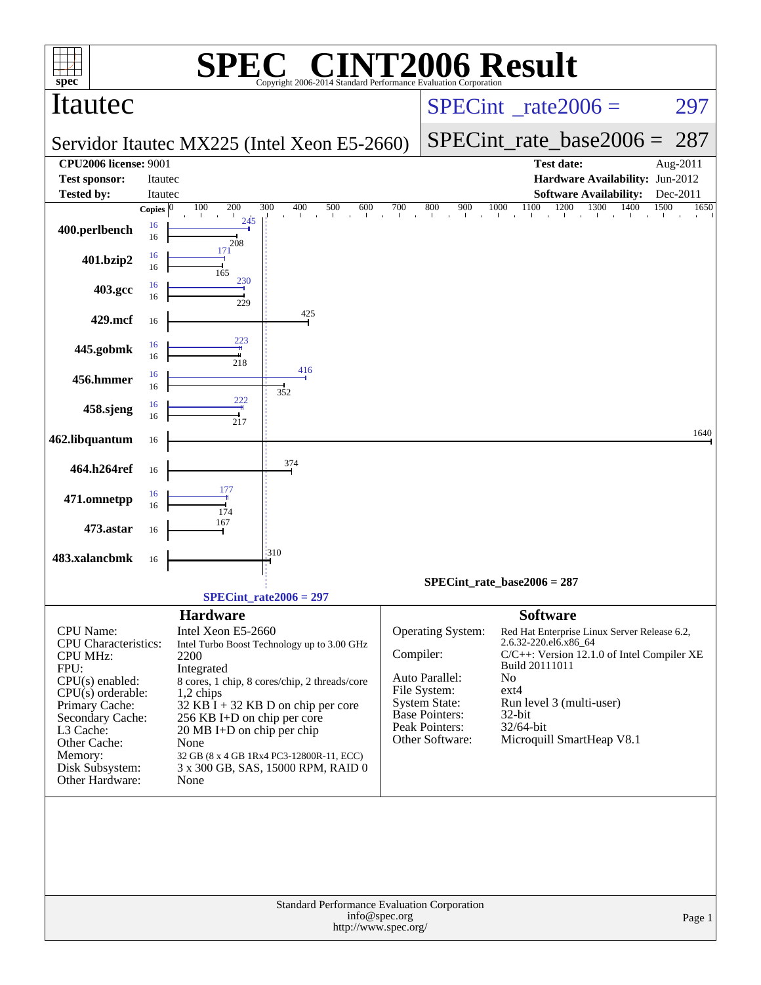|                                                                                                                                                                                                                                     |                    | SPI                                                                                                                                                                                                                                                                                                                                                                                                                   | $\blacksquare$                                                  |                                                                   |                                                                                                                                                        | <b>INT2006 Result</b>                                                                                                                                                                                                                                                     |              |  |  |
|-------------------------------------------------------------------------------------------------------------------------------------------------------------------------------------------------------------------------------------|--------------------|-----------------------------------------------------------------------------------------------------------------------------------------------------------------------------------------------------------------------------------------------------------------------------------------------------------------------------------------------------------------------------------------------------------------------|-----------------------------------------------------------------|-------------------------------------------------------------------|--------------------------------------------------------------------------------------------------------------------------------------------------------|---------------------------------------------------------------------------------------------------------------------------------------------------------------------------------------------------------------------------------------------------------------------------|--------------|--|--|
| spec<br>Itautec                                                                                                                                                                                                                     |                    |                                                                                                                                                                                                                                                                                                                                                                                                                       | Copyright 2006-2014 Standard Performance Evaluation Corporation |                                                                   |                                                                                                                                                        | $SPECint^{\circ}$ rate $2006 =$                                                                                                                                                                                                                                           | 297          |  |  |
|                                                                                                                                                                                                                                     |                    | Servidor Itautec MX225 (Intel Xeon E5-2660)                                                                                                                                                                                                                                                                                                                                                                           |                                                                 |                                                                   | $SPECint_rate\_base2006 =$                                                                                                                             | 287                                                                                                                                                                                                                                                                       |              |  |  |
| <b>CPU2006</b> license: 9001<br><b>Test sponsor:</b>                                                                                                                                                                                | Itautec            |                                                                                                                                                                                                                                                                                                                                                                                                                       |                                                                 |                                                                   |                                                                                                                                                        | <b>Test date:</b><br>Hardware Availability: Jun-2012                                                                                                                                                                                                                      | Aug-2011     |  |  |
| <b>Tested by:</b>                                                                                                                                                                                                                   | Itautec            |                                                                                                                                                                                                                                                                                                                                                                                                                       |                                                                 |                                                                   |                                                                                                                                                        | <b>Software Availability:</b>                                                                                                                                                                                                                                             | Dec-2011     |  |  |
|                                                                                                                                                                                                                                     | Copies $ 0\rangle$ | 100<br>200                                                                                                                                                                                                                                                                                                                                                                                                            | 300<br>400<br>$\frac{500}{1}$                                   | $\frac{700}{1}$<br>$\begin{array}{c}\n600 \\ \hline\n\end{array}$ |                                                                                                                                                        | 1400                                                                                                                                                                                                                                                                      | 1500<br>1650 |  |  |
| 400.perlbench                                                                                                                                                                                                                       | 16<br>16           | 245<br>208<br>171                                                                                                                                                                                                                                                                                                                                                                                                     |                                                                 |                                                                   |                                                                                                                                                        |                                                                                                                                                                                                                                                                           |              |  |  |
| 401.bzip2                                                                                                                                                                                                                           | 16<br>16           | 165<br>230                                                                                                                                                                                                                                                                                                                                                                                                            |                                                                 |                                                                   |                                                                                                                                                        |                                                                                                                                                                                                                                                                           |              |  |  |
| 403.gcc                                                                                                                                                                                                                             | 16<br>16           | 229                                                                                                                                                                                                                                                                                                                                                                                                                   | 425                                                             |                                                                   |                                                                                                                                                        |                                                                                                                                                                                                                                                                           |              |  |  |
| 429.mcf                                                                                                                                                                                                                             | 16                 | 223                                                                                                                                                                                                                                                                                                                                                                                                                   |                                                                 |                                                                   |                                                                                                                                                        |                                                                                                                                                                                                                                                                           |              |  |  |
| 445.gobmk                                                                                                                                                                                                                           | 16<br>16           | 218                                                                                                                                                                                                                                                                                                                                                                                                                   | 416                                                             |                                                                   |                                                                                                                                                        |                                                                                                                                                                                                                                                                           |              |  |  |
| 456.hmmer                                                                                                                                                                                                                           | 16<br>16           | 222                                                                                                                                                                                                                                                                                                                                                                                                                   | 352                                                             |                                                                   |                                                                                                                                                        |                                                                                                                                                                                                                                                                           |              |  |  |
| 458.sjeng                                                                                                                                                                                                                           | 16<br>16           | 217                                                                                                                                                                                                                                                                                                                                                                                                                   |                                                                 |                                                                   |                                                                                                                                                        |                                                                                                                                                                                                                                                                           | 1640         |  |  |
| 462.libquantum                                                                                                                                                                                                                      | 16                 |                                                                                                                                                                                                                                                                                                                                                                                                                       | 374                                                             |                                                                   |                                                                                                                                                        |                                                                                                                                                                                                                                                                           |              |  |  |
| 464.h264ref                                                                                                                                                                                                                         | 16                 | 177                                                                                                                                                                                                                                                                                                                                                                                                                   |                                                                 |                                                                   |                                                                                                                                                        |                                                                                                                                                                                                                                                                           |              |  |  |
| 471.omnetpp                                                                                                                                                                                                                         | 16<br>16           | 174<br>167                                                                                                                                                                                                                                                                                                                                                                                                            |                                                                 |                                                                   |                                                                                                                                                        |                                                                                                                                                                                                                                                                           |              |  |  |
| 473.astar                                                                                                                                                                                                                           | 16                 |                                                                                                                                                                                                                                                                                                                                                                                                                       | 310                                                             |                                                                   |                                                                                                                                                        |                                                                                                                                                                                                                                                                           |              |  |  |
| 483.xalancbmk                                                                                                                                                                                                                       | 16                 |                                                                                                                                                                                                                                                                                                                                                                                                                       |                                                                 |                                                                   |                                                                                                                                                        | $SPECint_rate_base2006 = 287$                                                                                                                                                                                                                                             |              |  |  |
|                                                                                                                                                                                                                                     |                    |                                                                                                                                                                                                                                                                                                                                                                                                                       |                                                                 |                                                                   |                                                                                                                                                        |                                                                                                                                                                                                                                                                           |              |  |  |
| CPU Name:<br><b>CPU</b> Characteristics:<br><b>CPU MHz:</b><br>FPU:<br>$CPU(s)$ enabled:<br>$CPU(s)$ orderable:<br>Primary Cache:<br>Secondary Cache:<br>L3 Cache:<br>Other Cache:<br>Memory:<br>Disk Subsystem:<br>Other Hardware: |                    | $SPECint_rate2006 = 297$<br><b>Hardware</b><br>Intel Xeon E5-2660<br>Intel Turbo Boost Technology up to 3.00 GHz<br>2200<br>Integrated<br>8 cores, 1 chip, 8 cores/chip, 2 threads/core<br>1,2 chips<br>$32$ KB I + 32 KB D on chip per core<br>256 KB I+D on chip per core<br>$20 \text{ MB I+D}$ on chip per chip<br>None<br>32 GB (8 x 4 GB 1Rx4 PC3-12800R-11, ECC)<br>3 x 300 GB, SAS, 15000 RPM, RAID 0<br>None |                                                                 |                                                                   | Operating System:<br>Compiler:<br>Auto Parallel:<br>File System:<br><b>System State:</b><br><b>Base Pointers:</b><br>Peak Pointers:<br>Other Software: | <b>Software</b><br>Red Hat Enterprise Linux Server Release 6.2,<br>2.6.32-220.el6.x86_64<br>C/C++: Version 12.1.0 of Intel Compiler XE<br>Build 20111011<br>N <sub>o</sub><br>$ext{4}$<br>Run level 3 (multi-user)<br>32-bit<br>$32/64$ -bit<br>Microquill SmartHeap V8.1 |              |  |  |
|                                                                                                                                                                                                                                     |                    |                                                                                                                                                                                                                                                                                                                                                                                                                       | Standard Performance Evaluation Corporation                     | info@spec.org<br>http://www.spec.org/                             |                                                                                                                                                        |                                                                                                                                                                                                                                                                           | Page 1       |  |  |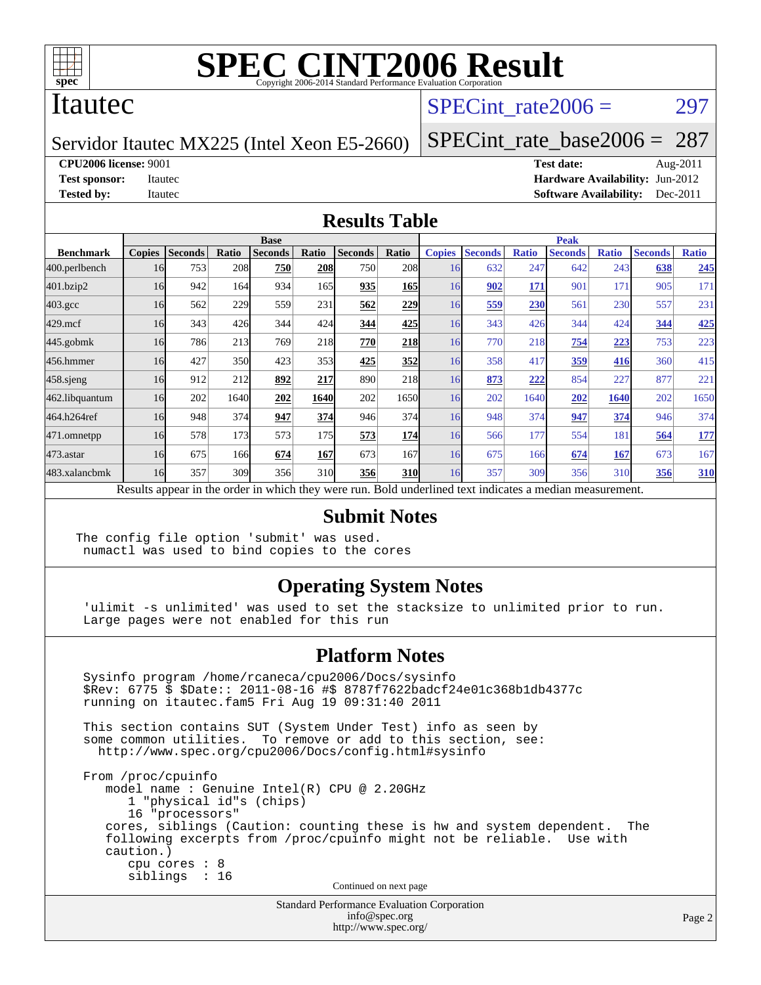

### Itautec

### SPECint rate $2006 = 297$

Servidor Itautec MX225 (Intel Xeon E5-2660)

[SPECint\\_rate\\_base2006 =](http://www.spec.org/auto/cpu2006/Docs/result-fields.html#SPECintratebase2006) 287

**[CPU2006 license:](http://www.spec.org/auto/cpu2006/Docs/result-fields.html#CPU2006license)** 9001 **[Test date:](http://www.spec.org/auto/cpu2006/Docs/result-fields.html#Testdate)** Aug-2011

**[Test sponsor:](http://www.spec.org/auto/cpu2006/Docs/result-fields.html#Testsponsor)** Itautec **[Hardware Availability:](http://www.spec.org/auto/cpu2006/Docs/result-fields.html#HardwareAvailability)** Jun-2012 **[Tested by:](http://www.spec.org/auto/cpu2006/Docs/result-fields.html#Testedby)** Itautec **Italien Contract Contract Contract Contract Contract Contract Contract Contract Contract Contract Contract Contract Contract Contract Contract Contract Contract Contract Contract Contract Contract Con** 

#### **[Results Table](http://www.spec.org/auto/cpu2006/Docs/result-fields.html#ResultsTable)**

|                                                                                                          | <b>Base</b>   |                |              |                |       |                |            | <b>Peak</b>   |                |              |                |              |                |              |
|----------------------------------------------------------------------------------------------------------|---------------|----------------|--------------|----------------|-------|----------------|------------|---------------|----------------|--------------|----------------|--------------|----------------|--------------|
| <b>Benchmark</b>                                                                                         | <b>Copies</b> | <b>Seconds</b> | <b>Ratio</b> | <b>Seconds</b> | Ratio | <b>Seconds</b> | Ratio      | <b>Copies</b> | <b>Seconds</b> | <b>Ratio</b> | <b>Seconds</b> | <b>Ratio</b> | <b>Seconds</b> | <b>Ratio</b> |
| 400.perlbench                                                                                            | 16            | 753            | 208          | 750            | 208   | 750            | 208        | 16            | 632            | 247          | 642            | 243          | 638            | 245          |
| 401.bzip2                                                                                                | 16            | 942            | 164          | 934            | 165   | 935            | <b>165</b> | 16            | 902            | 171          | 901            | 171          | 905            | 171          |
| $403.\mathrm{gcc}$                                                                                       | 16            | 562            | 229          | 559            | 231   | 562            | 229        | 16            | 559            | 230          | 561            | 230          | 557            | 231          |
| $429$ .mcf                                                                                               | 16            | 343            | 426          | 344            | 424   | 344            | 425        | 16            | 343            | 426          | 344            | 424          | 344            | 425          |
| $445$ .gobmk                                                                                             | 16            | 786            | 213          | 769            | 218   | 770            | <b>218</b> | 16            | 770            | 218          | 754            | 223          | 753            | 223          |
| 456.hmmer                                                                                                | 16            | 427            | 350          | 423            | 353   | 425            | 352        | 16            | 358            | 417          | <u>359</u>     | 416          | 360            | 415          |
| $458$ .sjeng                                                                                             | 16            | 912            | 212          | 892            | 217   | 890            | 218        | 16            | 873            | 222          | 854            | 227          | 877            | 221          |
| 462.libquantum                                                                                           | 16            | 202            | 1640         | 202            | 1640  | 202            | 1650       | 16            | 202            | 1640         | 202            | 1640         | 202            | 1650         |
| 464.h264ref                                                                                              | 16            | 948            | 374          | 947            | 374   | 946            | 374        | 16            | 948            | 374          | 947            | 374          | 946            | 374          |
| 471.omnetpp                                                                                              | 16            | 578            | 173          | 573            | 175   | 573            | 174        | 16            | 566            | 177          | 554            | 181          | 564            | <u>177</u>   |
| $473$ . astar                                                                                            | 16            | 675            | 166          | 674            | 167   | 673            | 167        | 16            | 675            | 166          | 674            | 167          | 673            | 167          |
| 483.xalancbmk                                                                                            | 16            | 357            | 309          | 356            | 310   | 356            | <b>310</b> | 16            | 357            | 309          | 356            | 310          | 356            | 310          |
| Results appear in the order in which they were run. Bold underlined text indicates a median measurement. |               |                |              |                |       |                |            |               |                |              |                |              |                |              |

#### **[Submit Notes](http://www.spec.org/auto/cpu2006/Docs/result-fields.html#SubmitNotes)**

The config file option 'submit' was used. numactl was used to bind copies to the cores

#### **[Operating System Notes](http://www.spec.org/auto/cpu2006/Docs/result-fields.html#OperatingSystemNotes)**

 'ulimit -s unlimited' was used to set the stacksize to unlimited prior to run. Large pages were not enabled for this run

#### **[Platform Notes](http://www.spec.org/auto/cpu2006/Docs/result-fields.html#PlatformNotes)**

 Sysinfo program /home/rcaneca/cpu2006/Docs/sysinfo \$Rev: 6775 \$ \$Date:: 2011-08-16 #\$ 8787f7622badcf24e01c368b1db4377c running on itautec.fam5 Fri Aug 19 09:31:40 2011 This section contains SUT (System Under Test) info as seen by some common utilities. To remove or add to this section, see: <http://www.spec.org/cpu2006/Docs/config.html#sysinfo> From /proc/cpuinfo model name : Genuine Intel(R) CPU @ 2.20GHz 1 "physical id"s (chips) 16 "processors" cores, siblings (Caution: counting these is hw and system dependent. The following excerpts from /proc/cpuinfo might not be reliable. Use with caution.) cpu cores : 8 siblings : 16 Continued on next page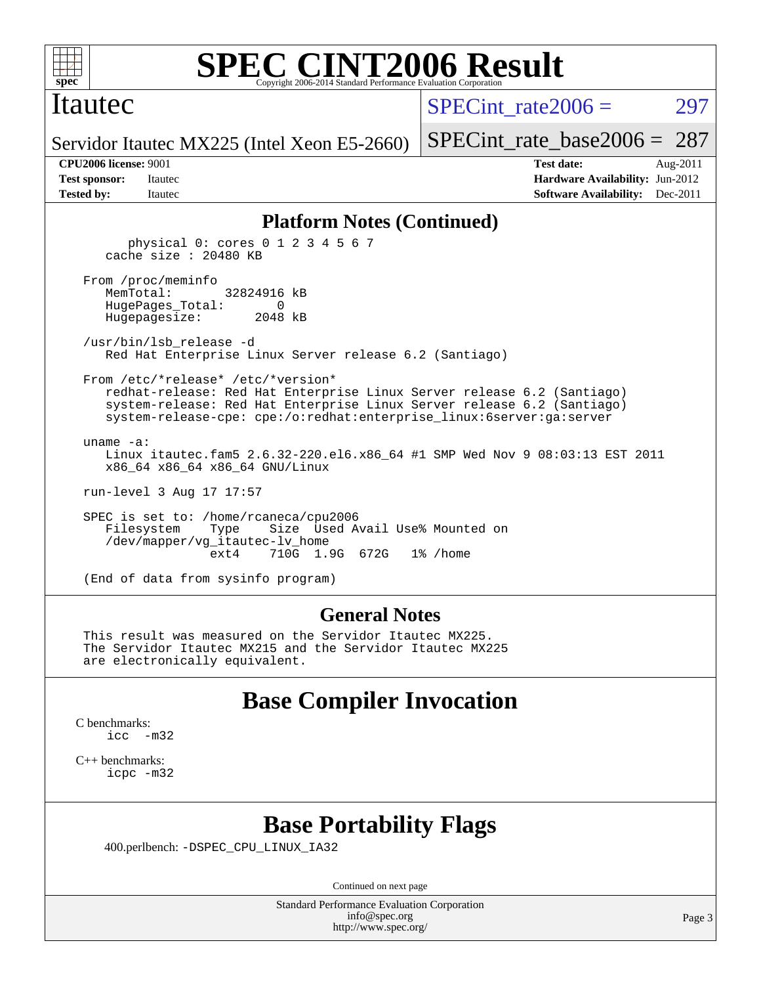

#### Itautec

SPECint rate $2006 = 297$ 

Servidor Itautec MX225 (Intel Xeon E5-2660)

[SPECint\\_rate\\_base2006 =](http://www.spec.org/auto/cpu2006/Docs/result-fields.html#SPECintratebase2006) 287

**[CPU2006 license:](http://www.spec.org/auto/cpu2006/Docs/result-fields.html#CPU2006license)** 9001 **[Test date:](http://www.spec.org/auto/cpu2006/Docs/result-fields.html#Testdate)** Aug-2011 **[Test sponsor:](http://www.spec.org/auto/cpu2006/Docs/result-fields.html#Testsponsor)** Itautec **[Hardware Availability:](http://www.spec.org/auto/cpu2006/Docs/result-fields.html#HardwareAvailability)** Jun-2012 **[Tested by:](http://www.spec.org/auto/cpu2006/Docs/result-fields.html#Testedby)** Itautec **Italien Contract Contract Contract Contract Contract Contract Contract Contract Contract Contract Contract Contract Contract Contract Contract Contract Contract Contract Contract Contract Contract Con** 

#### **[Platform Notes \(Continued\)](http://www.spec.org/auto/cpu2006/Docs/result-fields.html#PlatformNotes)**

 physical 0: cores 0 1 2 3 4 5 6 7 cache size : 20480 KB From /proc/meminfo MemTotal: 32824916 kB HugePages\_Total: 0 Hugepagesize: 2048 kB /usr/bin/lsb\_release -d Red Hat Enterprise Linux Server release 6.2 (Santiago) From /etc/\*release\* /etc/\*version\* redhat-release: Red Hat Enterprise Linux Server release 6.2 (Santiago) system-release: Red Hat Enterprise Linux Server release 6.2 (Santiago) system-release-cpe: cpe:/o:redhat:enterprise\_linux:6server:ga:server uname -a: Linux itautec.fam5 2.6.32-220.el6.x86\_64 #1 SMP Wed Nov 9 08:03:13 EST 2011 x86\_64 x86\_64 x86\_64 GNU/Linux run-level 3 Aug 17 17:57 SPEC is set to: /home/rcaneca/cpu2006 Filesystem Type Size Used Avail Use% Mounted on

(End of data from sysinfo program)

/dev/mapper/vg\_itautec-lv\_home

#### **[General Notes](http://www.spec.org/auto/cpu2006/Docs/result-fields.html#GeneralNotes)**

710G 1.9G 672G 1% / home

 This result was measured on the Servidor Itautec MX225. The Servidor Itautec MX215 and the Servidor Itautec MX225 are electronically equivalent.

### **[Base Compiler Invocation](http://www.spec.org/auto/cpu2006/Docs/result-fields.html#BaseCompilerInvocation)**

[C benchmarks](http://www.spec.org/auto/cpu2006/Docs/result-fields.html#Cbenchmarks): [icc -m32](http://www.spec.org/cpu2006/results/res2012q3/cpu2006-20120820-24261.flags.html#user_CCbase_intel_icc_5ff4a39e364c98233615fdd38438c6f2)

[C++ benchmarks:](http://www.spec.org/auto/cpu2006/Docs/result-fields.html#CXXbenchmarks) [icpc -m32](http://www.spec.org/cpu2006/results/res2012q3/cpu2006-20120820-24261.flags.html#user_CXXbase_intel_icpc_4e5a5ef1a53fd332b3c49e69c3330699)

### **[Base Portability Flags](http://www.spec.org/auto/cpu2006/Docs/result-fields.html#BasePortabilityFlags)**

400.perlbench: [-DSPEC\\_CPU\\_LINUX\\_IA32](http://www.spec.org/cpu2006/results/res2012q3/cpu2006-20120820-24261.flags.html#b400.perlbench_baseCPORTABILITY_DSPEC_CPU_LINUX_IA32)

Continued on next page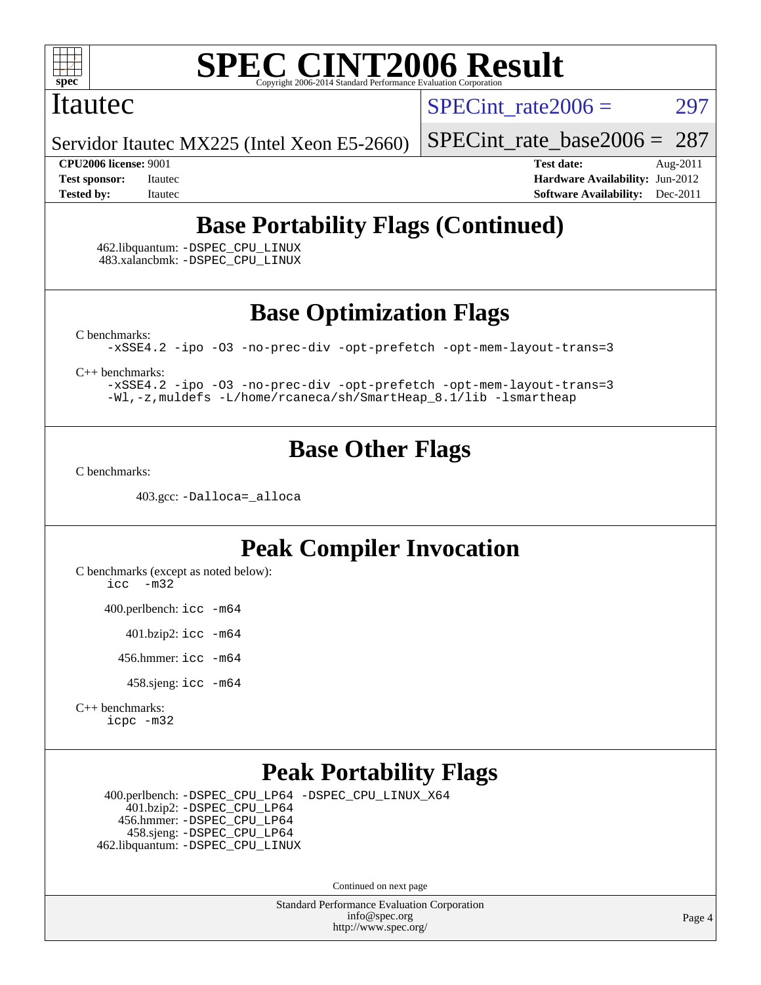

#### Itautec

SPECint rate $2006 = 297$ 

Servidor Itautec MX225 (Intel Xeon E5-2660)

[SPECint\\_rate\\_base2006 =](http://www.spec.org/auto/cpu2006/Docs/result-fields.html#SPECintratebase2006) 287

**[CPU2006 license:](http://www.spec.org/auto/cpu2006/Docs/result-fields.html#CPU2006license)** 9001 **[Test date:](http://www.spec.org/auto/cpu2006/Docs/result-fields.html#Testdate)** Aug-2011 **[Test sponsor:](http://www.spec.org/auto/cpu2006/Docs/result-fields.html#Testsponsor)** Itautec **[Hardware Availability:](http://www.spec.org/auto/cpu2006/Docs/result-fields.html#HardwareAvailability)** Jun-2012 **[Tested by:](http://www.spec.org/auto/cpu2006/Docs/result-fields.html#Testedby)** Itautec **Italien Contract Contract Contract Contract Contract Contract Contract Contract Contract Contract Contract Contract Contract Contract Contract Contract Contract Contract Contract Contract Contract Con** 

## **[Base Portability Flags \(Continued\)](http://www.spec.org/auto/cpu2006/Docs/result-fields.html#BasePortabilityFlags)**

 462.libquantum: [-DSPEC\\_CPU\\_LINUX](http://www.spec.org/cpu2006/results/res2012q3/cpu2006-20120820-24261.flags.html#b462.libquantum_baseCPORTABILITY_DSPEC_CPU_LINUX) 483.xalancbmk: [-DSPEC\\_CPU\\_LINUX](http://www.spec.org/cpu2006/results/res2012q3/cpu2006-20120820-24261.flags.html#b483.xalancbmk_baseCXXPORTABILITY_DSPEC_CPU_LINUX)

**[Base Optimization Flags](http://www.spec.org/auto/cpu2006/Docs/result-fields.html#BaseOptimizationFlags)**

[C benchmarks](http://www.spec.org/auto/cpu2006/Docs/result-fields.html#Cbenchmarks):

[-xSSE4.2](http://www.spec.org/cpu2006/results/res2012q3/cpu2006-20120820-24261.flags.html#user_CCbase_f-xSSE42_f91528193cf0b216347adb8b939d4107) [-ipo](http://www.spec.org/cpu2006/results/res2012q3/cpu2006-20120820-24261.flags.html#user_CCbase_f-ipo) [-O3](http://www.spec.org/cpu2006/results/res2012q3/cpu2006-20120820-24261.flags.html#user_CCbase_f-O3) [-no-prec-div](http://www.spec.org/cpu2006/results/res2012q3/cpu2006-20120820-24261.flags.html#user_CCbase_f-no-prec-div) [-opt-prefetch](http://www.spec.org/cpu2006/results/res2012q3/cpu2006-20120820-24261.flags.html#user_CCbase_f-opt-prefetch) [-opt-mem-layout-trans=3](http://www.spec.org/cpu2006/results/res2012q3/cpu2006-20120820-24261.flags.html#user_CCbase_f-opt-mem-layout-trans_a7b82ad4bd7abf52556d4961a2ae94d5)

[C++ benchmarks:](http://www.spec.org/auto/cpu2006/Docs/result-fields.html#CXXbenchmarks)

[-xSSE4.2](http://www.spec.org/cpu2006/results/res2012q3/cpu2006-20120820-24261.flags.html#user_CXXbase_f-xSSE42_f91528193cf0b216347adb8b939d4107) [-ipo](http://www.spec.org/cpu2006/results/res2012q3/cpu2006-20120820-24261.flags.html#user_CXXbase_f-ipo) [-O3](http://www.spec.org/cpu2006/results/res2012q3/cpu2006-20120820-24261.flags.html#user_CXXbase_f-O3) [-no-prec-div](http://www.spec.org/cpu2006/results/res2012q3/cpu2006-20120820-24261.flags.html#user_CXXbase_f-no-prec-div) [-opt-prefetch](http://www.spec.org/cpu2006/results/res2012q3/cpu2006-20120820-24261.flags.html#user_CXXbase_f-opt-prefetch) [-opt-mem-layout-trans=3](http://www.spec.org/cpu2006/results/res2012q3/cpu2006-20120820-24261.flags.html#user_CXXbase_f-opt-mem-layout-trans_a7b82ad4bd7abf52556d4961a2ae94d5) [-Wl,-z,muldefs](http://www.spec.org/cpu2006/results/res2012q3/cpu2006-20120820-24261.flags.html#user_CXXbase_link_force_multiple1_74079c344b956b9658436fd1b6dd3a8a) [-L/home/rcaneca/sh/SmartHeap\\_8.1/lib -lsmartheap](http://www.spec.org/cpu2006/results/res2012q3/cpu2006-20120820-24261.flags.html#user_CXXbase_SmartHeap_0f3a9c58980a95eacf4c6b7a458c149d)

## **[Base Other Flags](http://www.spec.org/auto/cpu2006/Docs/result-fields.html#BaseOtherFlags)**

[C benchmarks](http://www.spec.org/auto/cpu2006/Docs/result-fields.html#Cbenchmarks):

403.gcc: [-Dalloca=\\_alloca](http://www.spec.org/cpu2006/results/res2012q3/cpu2006-20120820-24261.flags.html#b403.gcc_baseEXTRA_CFLAGS_Dalloca_be3056838c12de2578596ca5467af7f3)

## **[Peak Compiler Invocation](http://www.spec.org/auto/cpu2006/Docs/result-fields.html#PeakCompilerInvocation)**

[C benchmarks \(except as noted below\)](http://www.spec.org/auto/cpu2006/Docs/result-fields.html#Cbenchmarksexceptasnotedbelow): [icc -m32](http://www.spec.org/cpu2006/results/res2012q3/cpu2006-20120820-24261.flags.html#user_CCpeak_intel_icc_5ff4a39e364c98233615fdd38438c6f2)

400.perlbench: [icc -m64](http://www.spec.org/cpu2006/results/res2012q3/cpu2006-20120820-24261.flags.html#user_peakCCLD400_perlbench_intel_icc_64bit_bda6cc9af1fdbb0edc3795bac97ada53)

401.bzip2: [icc -m64](http://www.spec.org/cpu2006/results/res2012q3/cpu2006-20120820-24261.flags.html#user_peakCCLD401_bzip2_intel_icc_64bit_bda6cc9af1fdbb0edc3795bac97ada53)

456.hmmer: [icc -m64](http://www.spec.org/cpu2006/results/res2012q3/cpu2006-20120820-24261.flags.html#user_peakCCLD456_hmmer_intel_icc_64bit_bda6cc9af1fdbb0edc3795bac97ada53)

458.sjeng: [icc -m64](http://www.spec.org/cpu2006/results/res2012q3/cpu2006-20120820-24261.flags.html#user_peakCCLD458_sjeng_intel_icc_64bit_bda6cc9af1fdbb0edc3795bac97ada53)

[C++ benchmarks:](http://www.spec.org/auto/cpu2006/Docs/result-fields.html#CXXbenchmarks) [icpc -m32](http://www.spec.org/cpu2006/results/res2012q3/cpu2006-20120820-24261.flags.html#user_CXXpeak_intel_icpc_4e5a5ef1a53fd332b3c49e69c3330699)

## **[Peak Portability Flags](http://www.spec.org/auto/cpu2006/Docs/result-fields.html#PeakPortabilityFlags)**

 400.perlbench: [-DSPEC\\_CPU\\_LP64](http://www.spec.org/cpu2006/results/res2012q3/cpu2006-20120820-24261.flags.html#b400.perlbench_peakCPORTABILITY_DSPEC_CPU_LP64) [-DSPEC\\_CPU\\_LINUX\\_X64](http://www.spec.org/cpu2006/results/res2012q3/cpu2006-20120820-24261.flags.html#b400.perlbench_peakCPORTABILITY_DSPEC_CPU_LINUX_X64) 401.bzip2: [-DSPEC\\_CPU\\_LP64](http://www.spec.org/cpu2006/results/res2012q3/cpu2006-20120820-24261.flags.html#suite_peakCPORTABILITY401_bzip2_DSPEC_CPU_LP64) 456.hmmer: [-DSPEC\\_CPU\\_LP64](http://www.spec.org/cpu2006/results/res2012q3/cpu2006-20120820-24261.flags.html#suite_peakCPORTABILITY456_hmmer_DSPEC_CPU_LP64) 458.sjeng: [-DSPEC\\_CPU\\_LP64](http://www.spec.org/cpu2006/results/res2012q3/cpu2006-20120820-24261.flags.html#suite_peakCPORTABILITY458_sjeng_DSPEC_CPU_LP64) 462.libquantum: [-DSPEC\\_CPU\\_LINUX](http://www.spec.org/cpu2006/results/res2012q3/cpu2006-20120820-24261.flags.html#b462.libquantum_peakCPORTABILITY_DSPEC_CPU_LINUX)

Continued on next page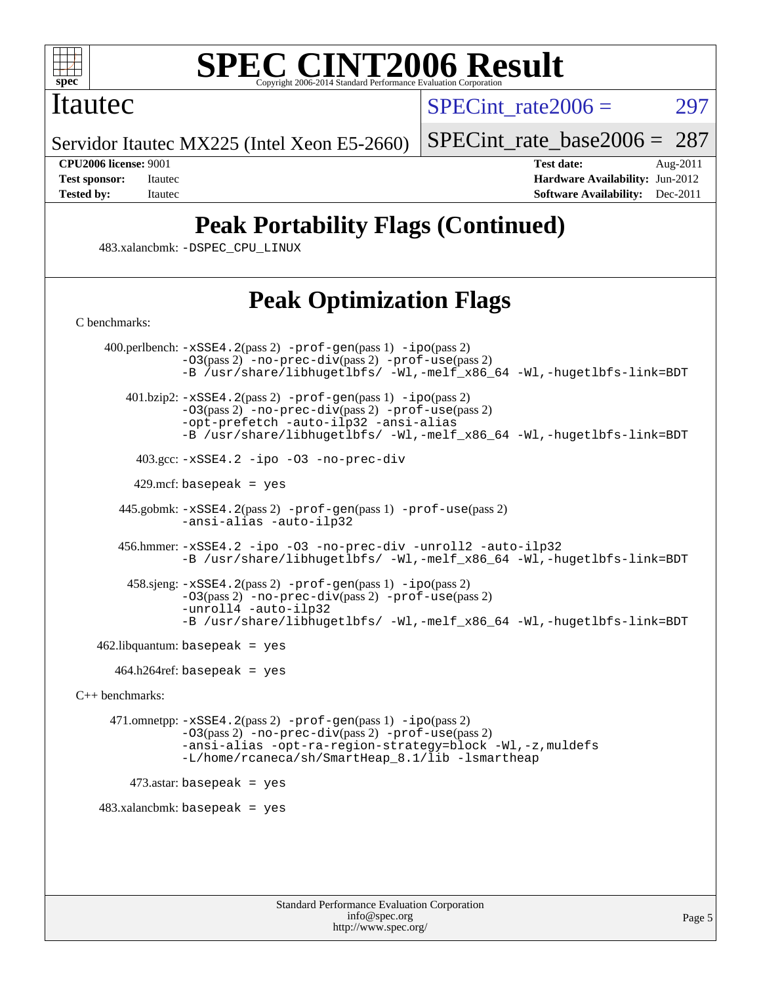

### Itautec

SPECint rate $2006 = 297$ 

Servidor Itautec MX225 (Intel Xeon E5-2660)

[SPECint\\_rate\\_base2006 =](http://www.spec.org/auto/cpu2006/Docs/result-fields.html#SPECintratebase2006) 287

**[CPU2006 license:](http://www.spec.org/auto/cpu2006/Docs/result-fields.html#CPU2006license)** 9001 **[Test date:](http://www.spec.org/auto/cpu2006/Docs/result-fields.html#Testdate)** Aug-2011 **[Test sponsor:](http://www.spec.org/auto/cpu2006/Docs/result-fields.html#Testsponsor)** Itautec **[Hardware Availability:](http://www.spec.org/auto/cpu2006/Docs/result-fields.html#HardwareAvailability)** Jun-2012 **[Tested by:](http://www.spec.org/auto/cpu2006/Docs/result-fields.html#Testedby)** Itautec **[Software Availability:](http://www.spec.org/auto/cpu2006/Docs/result-fields.html#SoftwareAvailability)** Dec-2011

## **[Peak Portability Flags \(Continued\)](http://www.spec.org/auto/cpu2006/Docs/result-fields.html#PeakPortabilityFlags)**

483.xalancbmk: [-DSPEC\\_CPU\\_LINUX](http://www.spec.org/cpu2006/results/res2012q3/cpu2006-20120820-24261.flags.html#b483.xalancbmk_peakCXXPORTABILITY_DSPEC_CPU_LINUX)

## **[Peak Optimization Flags](http://www.spec.org/auto/cpu2006/Docs/result-fields.html#PeakOptimizationFlags)**

[C benchmarks](http://www.spec.org/auto/cpu2006/Docs/result-fields.html#Cbenchmarks):

 400.perlbench: [-xSSE4.2](http://www.spec.org/cpu2006/results/res2012q3/cpu2006-20120820-24261.flags.html#user_peakPASS2_CFLAGSPASS2_LDCFLAGS400_perlbench_f-xSSE42_f91528193cf0b216347adb8b939d4107)(pass 2) [-prof-gen](http://www.spec.org/cpu2006/results/res2012q3/cpu2006-20120820-24261.flags.html#user_peakPASS1_CFLAGSPASS1_LDCFLAGS400_perlbench_prof_gen_e43856698f6ca7b7e442dfd80e94a8fc)(pass 1) [-ipo](http://www.spec.org/cpu2006/results/res2012q3/cpu2006-20120820-24261.flags.html#user_peakPASS2_CFLAGSPASS2_LDCFLAGS400_perlbench_f-ipo)(pass 2) [-O3](http://www.spec.org/cpu2006/results/res2012q3/cpu2006-20120820-24261.flags.html#user_peakPASS2_CFLAGSPASS2_LDCFLAGS400_perlbench_f-O3)(pass 2) [-no-prec-div](http://www.spec.org/cpu2006/results/res2012q3/cpu2006-20120820-24261.flags.html#user_peakPASS2_CFLAGSPASS2_LDCFLAGS400_perlbench_f-no-prec-div)(pass 2) [-prof-use](http://www.spec.org/cpu2006/results/res2012q3/cpu2006-20120820-24261.flags.html#user_peakPASS2_CFLAGSPASS2_LDCFLAGS400_perlbench_prof_use_bccf7792157ff70d64e32fe3e1250b55)(pass 2) [-B /usr/share/libhugetlbfs/ -Wl,-melf\\_x86\\_64 -Wl,-hugetlbfs-link=BDT](http://www.spec.org/cpu2006/results/res2012q3/cpu2006-20120820-24261.flags.html#user_peakPASS1_LDOPTPASS2_LDOPT400_perlbench_link_for_large_pages_64bit_fe1717234df9d3a8c8833ff77218828e)  $401.bzip2: -xSSE4.2(pass 2) -prof-gen(pass 1) -ipo(pass 2)$  $401.bzip2: -xSSE4.2(pass 2) -prof-gen(pass 1) -ipo(pass 2)$  $401.bzip2: -xSSE4.2(pass 2) -prof-gen(pass 1) -ipo(pass 2)$  $401.bzip2: -xSSE4.2(pass 2) -prof-gen(pass 1) -ipo(pass 2)$  $401.bzip2: -xSSE4.2(pass 2) -prof-gen(pass 1) -ipo(pass 2)$  $401.bzip2: -xSSE4.2(pass 2) -prof-gen(pass 1) -ipo(pass 2)$  $401.bzip2: -xSSE4.2(pass 2) -prof-gen(pass 1) -ipo(pass 2)$ [-O3](http://www.spec.org/cpu2006/results/res2012q3/cpu2006-20120820-24261.flags.html#user_peakPASS2_CFLAGSPASS2_LDCFLAGS401_bzip2_f-O3)(pass 2) [-no-prec-div](http://www.spec.org/cpu2006/results/res2012q3/cpu2006-20120820-24261.flags.html#user_peakPASS2_CFLAGSPASS2_LDCFLAGS401_bzip2_f-no-prec-div)(pass 2) [-prof-use](http://www.spec.org/cpu2006/results/res2012q3/cpu2006-20120820-24261.flags.html#user_peakPASS2_CFLAGSPASS2_LDCFLAGS401_bzip2_prof_use_bccf7792157ff70d64e32fe3e1250b55)(pass 2) [-opt-prefetch](http://www.spec.org/cpu2006/results/res2012q3/cpu2006-20120820-24261.flags.html#user_peakCOPTIMIZE401_bzip2_f-opt-prefetch) [-auto-ilp32](http://www.spec.org/cpu2006/results/res2012q3/cpu2006-20120820-24261.flags.html#user_peakCOPTIMIZE401_bzip2_f-auto-ilp32) [-ansi-alias](http://www.spec.org/cpu2006/results/res2012q3/cpu2006-20120820-24261.flags.html#user_peakCOPTIMIZE401_bzip2_f-ansi-alias) [-B /usr/share/libhugetlbfs/ -Wl,-melf\\_x86\\_64 -Wl,-hugetlbfs-link=BDT](http://www.spec.org/cpu2006/results/res2012q3/cpu2006-20120820-24261.flags.html#user_peakPASS1_LDOPTPASS2_LDOPT401_bzip2_link_for_large_pages_64bit_fe1717234df9d3a8c8833ff77218828e) 403.gcc: [-xSSE4.2](http://www.spec.org/cpu2006/results/res2012q3/cpu2006-20120820-24261.flags.html#user_peakCOPTIMIZE403_gcc_f-xSSE42_f91528193cf0b216347adb8b939d4107) [-ipo](http://www.spec.org/cpu2006/results/res2012q3/cpu2006-20120820-24261.flags.html#user_peakCOPTIMIZE403_gcc_f-ipo) [-O3](http://www.spec.org/cpu2006/results/res2012q3/cpu2006-20120820-24261.flags.html#user_peakCOPTIMIZE403_gcc_f-O3) [-no-prec-div](http://www.spec.org/cpu2006/results/res2012q3/cpu2006-20120820-24261.flags.html#user_peakCOPTIMIZE403_gcc_f-no-prec-div)  $429$ .mcf: basepeak = yes 445.gobmk: [-xSSE4.2](http://www.spec.org/cpu2006/results/res2012q3/cpu2006-20120820-24261.flags.html#user_peakPASS2_CFLAGSPASS2_LDCFLAGS445_gobmk_f-xSSE42_f91528193cf0b216347adb8b939d4107)(pass 2) [-prof-gen](http://www.spec.org/cpu2006/results/res2012q3/cpu2006-20120820-24261.flags.html#user_peakPASS1_CFLAGSPASS1_LDCFLAGS445_gobmk_prof_gen_e43856698f6ca7b7e442dfd80e94a8fc)(pass 1) [-prof-use](http://www.spec.org/cpu2006/results/res2012q3/cpu2006-20120820-24261.flags.html#user_peakPASS2_CFLAGSPASS2_LDCFLAGS445_gobmk_prof_use_bccf7792157ff70d64e32fe3e1250b55)(pass 2) [-ansi-alias](http://www.spec.org/cpu2006/results/res2012q3/cpu2006-20120820-24261.flags.html#user_peakCOPTIMIZE445_gobmk_f-ansi-alias) [-auto-ilp32](http://www.spec.org/cpu2006/results/res2012q3/cpu2006-20120820-24261.flags.html#user_peakCOPTIMIZE445_gobmk_f-auto-ilp32) 456.hmmer: [-xSSE4.2](http://www.spec.org/cpu2006/results/res2012q3/cpu2006-20120820-24261.flags.html#user_peakCOPTIMIZE456_hmmer_f-xSSE42_f91528193cf0b216347adb8b939d4107) [-ipo](http://www.spec.org/cpu2006/results/res2012q3/cpu2006-20120820-24261.flags.html#user_peakCOPTIMIZE456_hmmer_f-ipo) [-O3](http://www.spec.org/cpu2006/results/res2012q3/cpu2006-20120820-24261.flags.html#user_peakCOPTIMIZE456_hmmer_f-O3) [-no-prec-div](http://www.spec.org/cpu2006/results/res2012q3/cpu2006-20120820-24261.flags.html#user_peakCOPTIMIZE456_hmmer_f-no-prec-div) [-unroll2](http://www.spec.org/cpu2006/results/res2012q3/cpu2006-20120820-24261.flags.html#user_peakCOPTIMIZE456_hmmer_f-unroll_784dae83bebfb236979b41d2422d7ec2) [-auto-ilp32](http://www.spec.org/cpu2006/results/res2012q3/cpu2006-20120820-24261.flags.html#user_peakCOPTIMIZE456_hmmer_f-auto-ilp32) [-B /usr/share/libhugetlbfs/ -Wl,-melf\\_x86\\_64 -Wl,-hugetlbfs-link=BDT](http://www.spec.org/cpu2006/results/res2012q3/cpu2006-20120820-24261.flags.html#user_peakLDOPT456_hmmer_link_for_large_pages_64bit_fe1717234df9d3a8c8833ff77218828e) 458.sjeng: [-xSSE4.2](http://www.spec.org/cpu2006/results/res2012q3/cpu2006-20120820-24261.flags.html#user_peakPASS2_CFLAGSPASS2_LDCFLAGS458_sjeng_f-xSSE42_f91528193cf0b216347adb8b939d4107)(pass 2) [-prof-gen](http://www.spec.org/cpu2006/results/res2012q3/cpu2006-20120820-24261.flags.html#user_peakPASS1_CFLAGSPASS1_LDCFLAGS458_sjeng_prof_gen_e43856698f6ca7b7e442dfd80e94a8fc)(pass 1) [-ipo](http://www.spec.org/cpu2006/results/res2012q3/cpu2006-20120820-24261.flags.html#user_peakPASS2_CFLAGSPASS2_LDCFLAGS458_sjeng_f-ipo)(pass 2) [-O3](http://www.spec.org/cpu2006/results/res2012q3/cpu2006-20120820-24261.flags.html#user_peakPASS2_CFLAGSPASS2_LDCFLAGS458_sjeng_f-O3)(pass 2) [-no-prec-div](http://www.spec.org/cpu2006/results/res2012q3/cpu2006-20120820-24261.flags.html#user_peakPASS2_CFLAGSPASS2_LDCFLAGS458_sjeng_f-no-prec-div)(pass 2) [-prof-use](http://www.spec.org/cpu2006/results/res2012q3/cpu2006-20120820-24261.flags.html#user_peakPASS2_CFLAGSPASS2_LDCFLAGS458_sjeng_prof_use_bccf7792157ff70d64e32fe3e1250b55)(pass 2) [-unroll4](http://www.spec.org/cpu2006/results/res2012q3/cpu2006-20120820-24261.flags.html#user_peakCOPTIMIZE458_sjeng_f-unroll_4e5e4ed65b7fd20bdcd365bec371b81f) [-auto-ilp32](http://www.spec.org/cpu2006/results/res2012q3/cpu2006-20120820-24261.flags.html#user_peakCOPTIMIZE458_sjeng_f-auto-ilp32) [-B /usr/share/libhugetlbfs/ -Wl,-melf\\_x86\\_64 -Wl,-hugetlbfs-link=BDT](http://www.spec.org/cpu2006/results/res2012q3/cpu2006-20120820-24261.flags.html#user_peakPASS1_LDOPTPASS2_LDOPT458_sjeng_link_for_large_pages_64bit_fe1717234df9d3a8c8833ff77218828e)  $462$ .libquantum: basepeak = yes 464.h264ref: basepeak = yes [C++ benchmarks:](http://www.spec.org/auto/cpu2006/Docs/result-fields.html#CXXbenchmarks) 471.omnetpp: [-xSSE4.2](http://www.spec.org/cpu2006/results/res2012q3/cpu2006-20120820-24261.flags.html#user_peakPASS2_CXXFLAGSPASS2_LDCXXFLAGS471_omnetpp_f-xSSE42_f91528193cf0b216347adb8b939d4107)(pass 2) [-prof-gen](http://www.spec.org/cpu2006/results/res2012q3/cpu2006-20120820-24261.flags.html#user_peakPASS1_CXXFLAGSPASS1_LDCXXFLAGS471_omnetpp_prof_gen_e43856698f6ca7b7e442dfd80e94a8fc)(pass 1) [-ipo](http://www.spec.org/cpu2006/results/res2012q3/cpu2006-20120820-24261.flags.html#user_peakPASS2_CXXFLAGSPASS2_LDCXXFLAGS471_omnetpp_f-ipo)(pass 2) [-O3](http://www.spec.org/cpu2006/results/res2012q3/cpu2006-20120820-24261.flags.html#user_peakPASS2_CXXFLAGSPASS2_LDCXXFLAGS471_omnetpp_f-O3)(pass 2) [-no-prec-div](http://www.spec.org/cpu2006/results/res2012q3/cpu2006-20120820-24261.flags.html#user_peakPASS2_CXXFLAGSPASS2_LDCXXFLAGS471_omnetpp_f-no-prec-div)(pass 2) [-prof-use](http://www.spec.org/cpu2006/results/res2012q3/cpu2006-20120820-24261.flags.html#user_peakPASS2_CXXFLAGSPASS2_LDCXXFLAGS471_omnetpp_prof_use_bccf7792157ff70d64e32fe3e1250b55)(pass 2) [-ansi-alias](http://www.spec.org/cpu2006/results/res2012q3/cpu2006-20120820-24261.flags.html#user_peakCXXOPTIMIZE471_omnetpp_f-ansi-alias) [-opt-ra-region-strategy=block](http://www.spec.org/cpu2006/results/res2012q3/cpu2006-20120820-24261.flags.html#user_peakCXXOPTIMIZE471_omnetpp_f-opt-ra-region-strategy_a0a37c372d03933b2a18d4af463c1f69) [-Wl,-z,muldefs](http://www.spec.org/cpu2006/results/res2012q3/cpu2006-20120820-24261.flags.html#user_peakEXTRA_LDFLAGS471_omnetpp_link_force_multiple1_74079c344b956b9658436fd1b6dd3a8a) [-L/home/rcaneca/sh/SmartHeap\\_8.1/lib -lsmartheap](http://www.spec.org/cpu2006/results/res2012q3/cpu2006-20120820-24261.flags.html#user_peakEXTRA_LIBS471_omnetpp_SmartHeap_0f3a9c58980a95eacf4c6b7a458c149d) 473.astar: basepeak = yes  $483.xalanchmk: basepeak = yes$